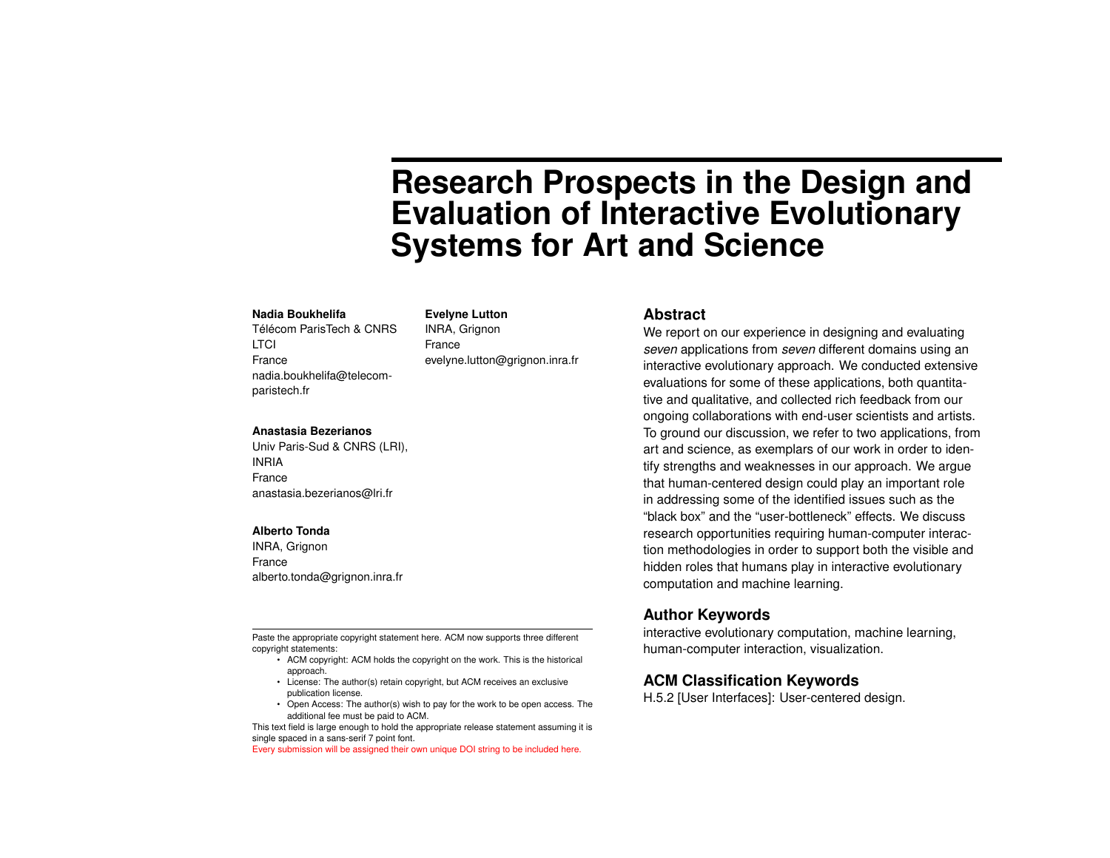# **Research Prospects in the Design and Evaluation of Interactive Evolutionary Systems for Art and Science**

#### **Nadia Boukhelifa**

Télécom ParisTech & CNRS **LTCI** France nadia.boukhelifa@telecomparistech.fr

**Evelyne Lutton** INRA, Grignon France evelyne.lutton@grignon.inra.fr

#### **Anastasia Bezerianos**

Univ Paris-Sud & CNRS (LRI), INRIA France anastasia.bezerianos@lri.fr

#### **Alberto Tonda**

INRA, Grignon France alberto.tonda@grignon.inra.fr

Paste the appropriate copyright statement here. ACM now supports three different copyright statements:

- ACM copyright: ACM holds the copyright on the work. This is the historical approach.
- License: The author(s) retain copyright, but ACM receives an exclusive publication license.
- Open Access: The author(s) wish to pay for the work to be open access. The additional fee must be paid to ACM.

This text field is large enough to hold the appropriate release statement assuming it is single spaced in a sans-serif 7 point font.

Every submission will be assigned their own unique DOI string to be included here.

#### **Abstract**

We report on our experience in designing and evaluating *seven* applications from *seven* different domains using an interactive evolutionary approach. We conducted extensive evaluations for some of these applications, both quantitative and qualitative, and collected rich feedback from our ongoing collaborations with end-user scientists and artists. To ground our discussion, we refer to two applications, from art and science, as exemplars of our work in order to identify strengths and weaknesses in our approach. We argue that human-centered design could play an important role in addressing some of the identified issues such as the "black box" and the "user-bottleneck" effects. We discuss research opportunities requiring human-computer interaction methodologies in order to support both the visible and hidden roles that humans play in interactive evolutionary computation and machine learning.

#### **Author Keywords**

interactive evolutionary computation, machine learning, human-computer interaction, visualization.

### **ACM Classification Keywords**

H.5.2 [User Interfaces]: User-centered design.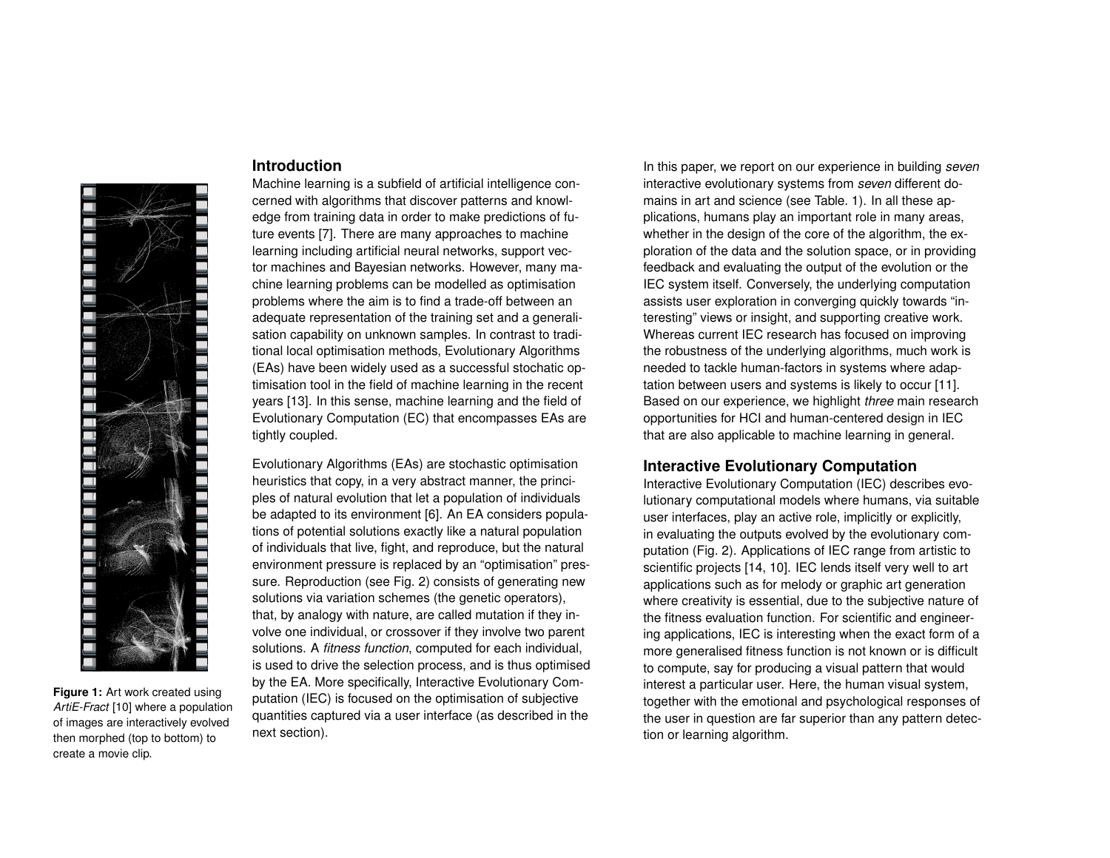

**Figure 1:** Art work created using *ArtiE-Fract* [\[10\]](#page-5-2) where a population of images are interactively evolved then morphed (top to bottom) to create a movie clip.

## **Introduction**

Machine learning is a subfield of artificial intelligence concerned with algorithms that discover patterns and knowledge from training data in order to make predictions of future events [\[7\]](#page-5-0). There are many approaches to machine learning including artificial neural networks, support vector machines and Bayesian networks. However, many machine learning problems can be modelled as optimisation problems where the aim is to find a trade-off between an adequate representation of the training set and a generalisation capability on unknown samples. In contrast to traditional local optimisation methods, Evolutionary Algorithms (EAs) have been widely used as a successful stochatic optimisation tool in the field of machine learning in the recent years [\[13\]](#page-5-1). In this sense, machine learning and the field of Evolutionary Computation (EC) that encompasses EAs are tightly coupled.

Evolutionary Algorithms (EAs) are stochastic optimisation heuristics that copy, in a very abstract manner, the principles of natural evolution that let a population of individuals be adapted to its environment [\[6\]](#page-5-3). An EA considers populations of potential solutions exactly like a natural population of individuals that live, fight, and reproduce, but the natural environment pressure is replaced by an "optimisation" pressure. Reproduction (see Fig. [2\)](#page-2-0) consists of generating new solutions via variation schemes (the genetic operators), that, by analogy with nature, are called mutation if they involve one individual, or crossover if they involve two parent solutions. A *fitness function*, computed for each individual, is used to drive the selection process, and is thus optimised by the EA. More specifically, Interactive Evolutionary Computation (IEC) is focused on the optimisation of subjective quantities captured via a user interface (as described in the next section).

In this paper, we report on our experience in building *seven* interactive evolutionary systems from *seven* different domains in art and science (see Table. [1\)](#page-2-1). In all these applications, humans play an important role in many areas, whether in the design of the core of the algorithm, the exploration of the data and the solution space, or in providing feedback and evaluating the output of the evolution or the IEC system itself. Conversely, the underlying computation assists user exploration in converging quickly towards "interesting" views or insight, and supporting creative work. Whereas current IEC research has focused on improving the robustness of the underlying algorithms, much work is needed to tackle human-factors in systems where adaptation between users and systems is likely to occur [\[11\]](#page-5-4). Based on our experience, we highlight *three* main research opportunities for HCI and human-centered design in IEC that are also applicable to machine learning in general.

# **Interactive Evolutionary Computation**

Interactive Evolutionary Computation (IEC) describes evolutionary computational models where humans, via suitable user interfaces, play an active role, implicitly or explicitly, in evaluating the outputs evolved by the evolutionary computation (Fig. [2\)](#page-2-0). Applications of IEC range from artistic to scientific projects [\[14,](#page-5-5) [10\]](#page-5-2). IEC lends itself very well to art applications such as for melody or graphic art generation where creativity is essential, due to the subjective nature of the fitness evaluation function. For scientific and engineering applications, IEC is interesting when the exact form of a more generalised fitness function is not known or is difficult to compute, say for producing a visual pattern that would interest a particular user. Here, the human visual system, together with the emotional and psychological responses of the user in question are far superior than any pattern detection or learning algorithm.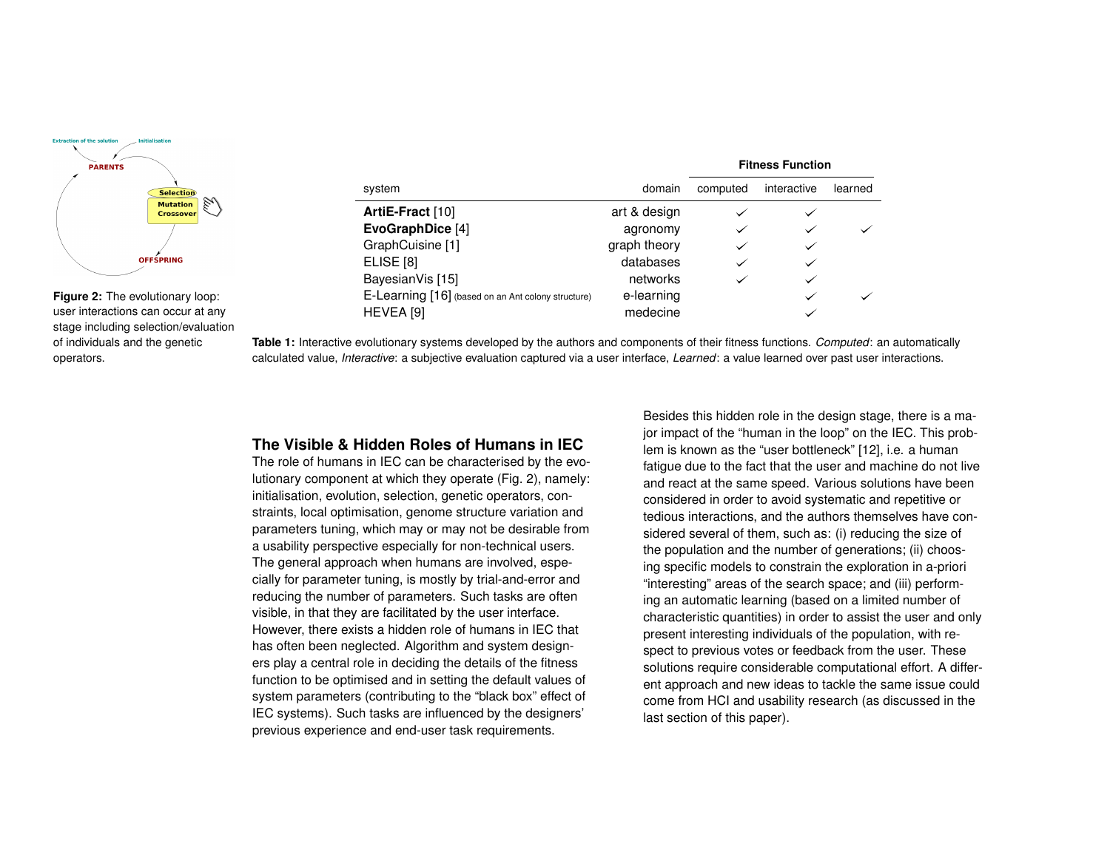

<span id="page-2-0"></span>**Figure 2:** The evolutionary loop: user interactions can occur at any stage including selection/evaluation of individuals and the genetic operators.

<span id="page-2-1"></span>

|                                                    |              | <b>Fitness Function</b> |              |         |
|----------------------------------------------------|--------------|-------------------------|--------------|---------|
| system                                             | domain       | computed                | interactive  | learned |
| ArtiE-Fract [10]                                   | art & design | $\checkmark$            |              |         |
| EvoGraphDice [4]                                   | agronomy     | $\checkmark$            | $\checkmark$ |         |
| GraphCuisine [1]                                   | graph theory | $\checkmark$            | $\checkmark$ |         |
| ELISE <sup>[8]</sup>                               | databases    | $\checkmark$            | $\checkmark$ |         |
| BayesianVis [15]                                   | networks     | $\checkmark$            | $\checkmark$ |         |
| E-Learning [16] (based on an Ant colony structure) | e-learning   |                         | $\checkmark$ |         |
| HEVEA [9]                                          | medecine     |                         |              |         |

**Table 1:** Interactive evolutionary systems developed by the authors and components of their fitness functions. *Computed*: an automatically calculated value, *Interactive*: a subjective evaluation captured via a user interface, *Learned*: a value learned over past user interactions.

# **The Visible & Hidden Roles of Humans in IEC**

The role of humans in IEC can be characterised by the evolutionary component at which they operate (Fig. [2\)](#page-2-0), namely: initialisation, evolution, selection, genetic operators, constraints, local optimisation, genome structure variation and parameters tuning, which may or may not be desirable from a usability perspective especially for non-technical users. The general approach when humans are involved, especially for parameter tuning, is mostly by trial-and-error and reducing the number of parameters. Such tasks are often visible, in that they are facilitated by the user interface. However, there exists a hidden role of humans in IEC that has often been neglected. Algorithm and system designers play a central role in deciding the details of the fitness function to be optimised and in setting the default values of system parameters (contributing to the "black box" effect of IEC systems). Such tasks are influenced by the designers' previous experience and end-user task requirements.

Besides this hidden role in the design stage, there is a major impact of the "human in the loop" on the IEC. This problem is known as the "user bottleneck" [\[12\]](#page-5-12), i.e. a human fatigue due to the fact that the user and machine do not live and react at the same speed. Various solutions have been considered in order to avoid systematic and repetitive or tedious interactions, and the authors themselves have considered several of them, such as: (i) reducing the size of the population and the number of generations; (ii) choosing specific models to constrain the exploration in a-priori "interesting" areas of the search space; and (iii) performing an automatic learning (based on a limited number of characteristic quantities) in order to assist the user and only present interesting individuals of the population, with respect to previous votes or feedback from the user. These solutions require considerable computational effort. A different approach and new ideas to tackle the same issue could come from HCI and usability research (as discussed in the last section of this paper).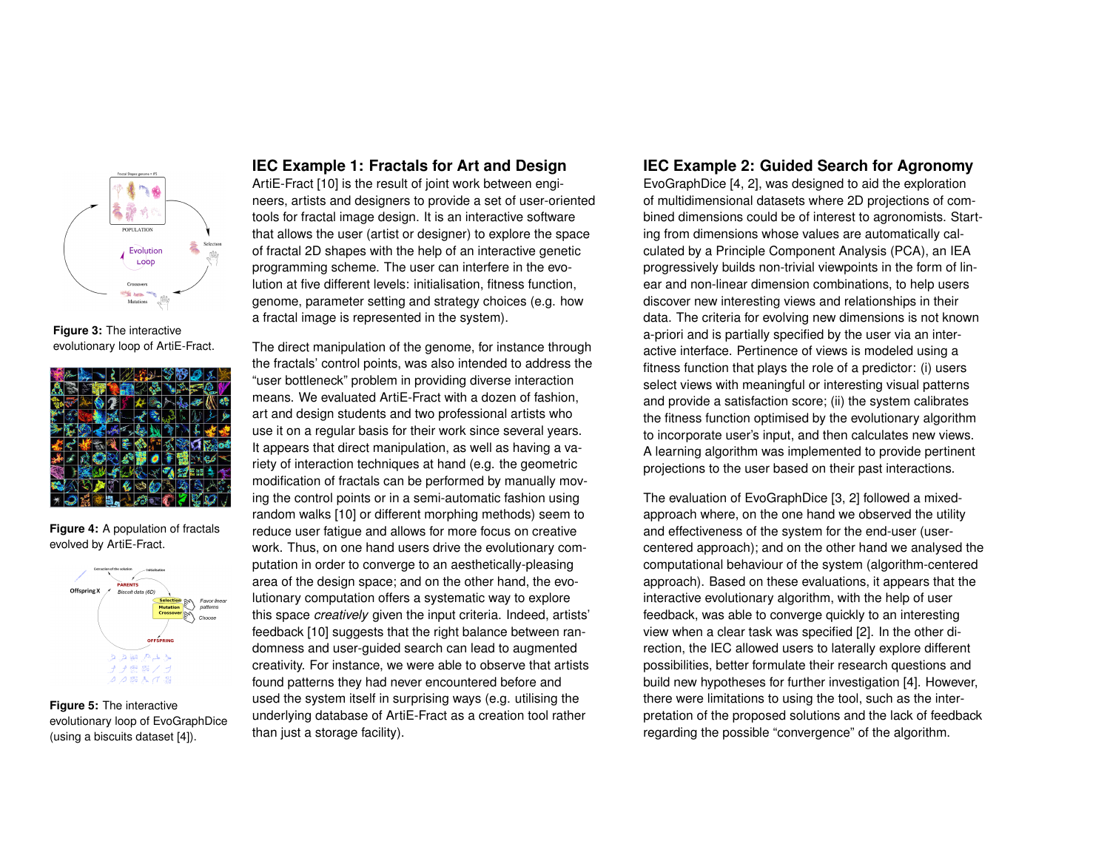

**Figure 3:** The interactive evolutionary loop of ArtiE-Fract.



**Figure 4:** A population of fractals evolved by ArtiE-Fract.



**Figure 5:** The interactive evolutionary loop of EvoGraphDice (using a biscuits dataset [\[4\]](#page-5-6)).

## **IEC Example 1: Fractals for Art and Design**

ArtiE-Fract [\[10\]](#page-5-2) is the result of joint work between engineers, artists and designers to provide a set of user-oriented tools for fractal image design. It is an interactive software that allows the user (artist or designer) to explore the space of fractal 2D shapes with the help of an interactive genetic programming scheme. The user can interfere in the evolution at five different levels: initialisation, fitness function, genome, parameter setting and strategy choices (e.g. how a fractal image is represented in the system).

The direct manipulation of the genome, for instance through the fractals' control points, was also intended to address the "user bottleneck" problem in providing diverse interaction means. We evaluated ArtiE-Fract with a dozen of fashion, art and design students and two professional artists who use it on a regular basis for their work since several years. It appears that direct manipulation, as well as having a variety of interaction techniques at hand (e.g. the geometric modification of fractals can be performed by manually moving the control points or in a semi-automatic fashion using random walks [\[10\]](#page-5-2) or different morphing methods) seem to reduce user fatigue and allows for more focus on creative work. Thus, on one hand users drive the evolutionary computation in order to converge to an aesthetically-pleasing area of the design space; and on the other hand, the evolutionary computation offers a systematic way to explore this space *creatively* given the input criteria. Indeed, artists' feedback [\[10\]](#page-5-2) suggests that the right balance between randomness and user-guided search can lead to augmented creativity. For instance, we were able to observe that artists found patterns they had never encountered before and used the system itself in surprising ways (e.g. utilising the underlying database of ArtiE-Fract as a creation tool rather than just a storage facility).

# **IEC Example 2: Guided Search for Agronomy**

EvoGraphDice [\[4,](#page-5-6) [2\]](#page-5-13), was designed to aid the exploration of multidimensional datasets where 2D projections of combined dimensions could be of interest to agronomists. Starting from dimensions whose values are automatically calculated by a Principle Component Analysis (PCA), an IEA progressively builds non-trivial viewpoints in the form of linear and non-linear dimension combinations, to help users discover new interesting views and relationships in their data. The criteria for evolving new dimensions is not known a-priori and is partially specified by the user via an interactive interface. Pertinence of views is modeled using a fitness function that plays the role of a predictor: (i) users select views with meaningful or interesting visual patterns and provide a satisfaction score; (ii) the system calibrates the fitness function optimised by the evolutionary algorithm to incorporate user's input, and then calculates new views. A learning algorithm was implemented to provide pertinent projections to the user based on their past interactions.

The evaluation of EvoGraphDice [\[3,](#page-5-14) [2\]](#page-5-13) followed a mixedapproach where, on the one hand we observed the utility and effectiveness of the system for the end-user (usercentered approach); and on the other hand we analysed the computational behaviour of the system (algorithm-centered approach). Based on these evaluations, it appears that the interactive evolutionary algorithm, with the help of user feedback, was able to converge quickly to an interesting view when a clear task was specified [\[2\]](#page-5-13). In the other direction, the IEC allowed users to laterally explore different possibilities, better formulate their research questions and build new hypotheses for further investigation [\[4\]](#page-5-6). However, there were limitations to using the tool, such as the interpretation of the proposed solutions and the lack of feedback regarding the possible "convergence" of the algorithm.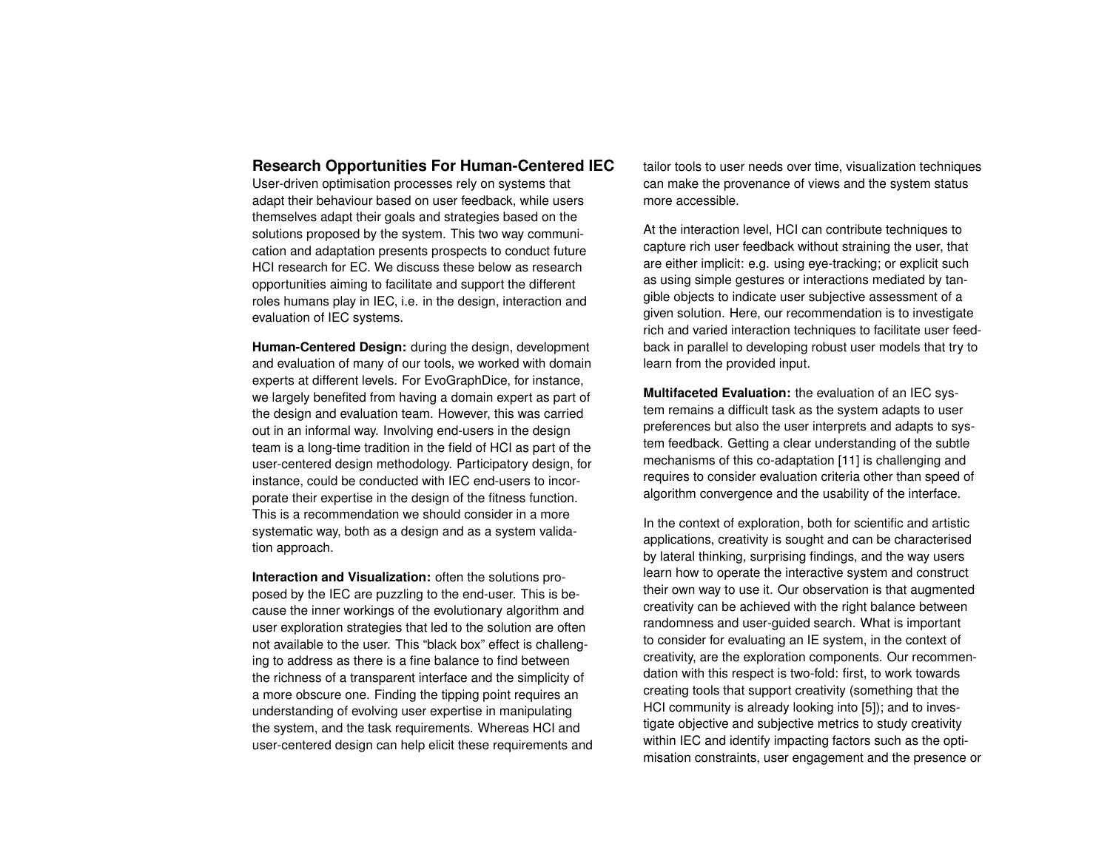### **Research Opportunities For Human-Centered IEC**

User-driven optimisation processes rely on systems that adapt their behaviour based on user feedback, while users themselves adapt their goals and strategies based on the solutions proposed by the system. This two way communication and adaptation presents prospects to conduct future HCI research for EC. We discuss these below as research opportunities aiming to facilitate and support the different roles humans play in IEC, i.e. in the design, interaction and evaluation of IEC systems.

**Human-Centered Design:** during the design, development and evaluation of many of our tools, we worked with domain experts at different levels. For EvoGraphDice, for instance, we largely benefited from having a domain expert as part of the design and evaluation team. However, this was carried out in an informal way. Involving end-users in the design team is a long-time tradition in the field of HCI as part of the user-centered design methodology. Participatory design, for instance, could be conducted with IEC end-users to incorporate their expertise in the design of the fitness function. This is a recommendation we should consider in a more systematic way, both as a design and as a system validation approach.

**Interaction and Visualization:** often the solutions proposed by the IEC are puzzling to the end-user. This is because the inner workings of the evolutionary algorithm and user exploration strategies that led to the solution are often not available to the user. This "black box" effect is challenging to address as there is a fine balance to find between the richness of a transparent interface and the simplicity of a more obscure one. Finding the tipping point requires an understanding of evolving user expertise in manipulating the system, and the task requirements. Whereas HCI and user-centered design can help elicit these requirements and

tailor tools to user needs over time, visualization techniques can make the provenance of views and the system status more accessible.

At the interaction level, HCI can contribute techniques to capture rich user feedback without straining the user, that are either implicit: e.g. using eye-tracking; or explicit such as using simple gestures or interactions mediated by tangible objects to indicate user subjective assessment of a given solution. Here, our recommendation is to investigate rich and varied interaction techniques to facilitate user feedback in parallel to developing robust user models that try to learn from the provided input.

**Multifaceted Evaluation:** the evaluation of an IEC system remains a difficult task as the system adapts to user preferences but also the user interprets and adapts to system feedback. Getting a clear understanding of the subtle mechanisms of this co-adaptation [\[11\]](#page-5-4) is challenging and requires to consider evaluation criteria other than speed of algorithm convergence and the usability of the interface.

In the context of exploration, both for scientific and artistic applications, creativity is sought and can be characterised by lateral thinking, surprising findings, and the way users learn how to operate the interactive system and construct their own way to use it. Our observation is that augmented creativity can be achieved with the right balance between randomness and user-guided search. What is important to consider for evaluating an IE system, in the context of creativity, are the exploration components. Our recommendation with this respect is two-fold: first, to work towards creating tools that support creativity (something that the HCI community is already looking into [\[5\]](#page-5-15)); and to investigate objective and subjective metrics to study creativity within IEC and identify impacting factors such as the optimisation constraints, user engagement and the presence or